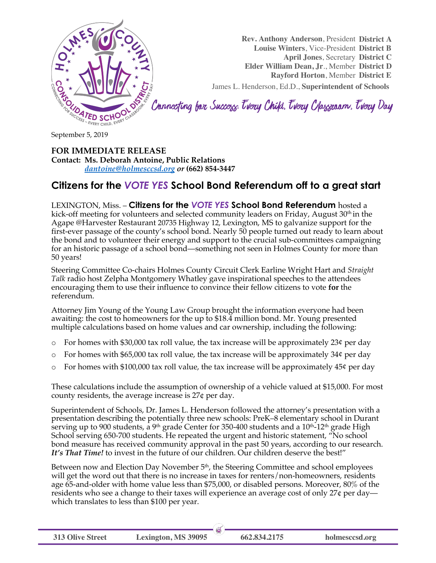

**Rev. Anthony Anderson**, President **District A**

**Louise Winters**, Vice-President **District B**

**April Jones**, Secretary **District C**

**Elder William Dean, Jr**., Member **District D**

**Rayford Horton**, Member **District E**

James L. Henderson, Ed.D., **Superintendent of Schools**

Connecting for Success Trery Child, Trery Classroom, Trery Day

**FOR IMMEDIATE RELEASE Contact: Ms. Deborah Antoine, Public Relations** *dantoine@holmesccsd.org or* **(662) 854-3447**

## **Citizens for the** *VOTE YES* **School Bond Referendum off to a great start**

LEXINGTON, Miss. – **Citizens for the** *VOTE YES* **School Bond Referendum** hosted a kick-off meeting for volunteers and selected community leaders on Friday, August  $30<sup>th</sup>$  in the Agape @Harvester Restaurant 20735 Highway 12, Lexington, MS to galvanize support for the first-ever passage of the county's school bond. Nearly 50 people turned out ready to learn about the bond and to volunteer their energy and support to the crucial sub-committees campaigning for an historic passage of a school bond—something not seen in Holmes County for more than 50 years!

Steering Committee Co-chairs Holmes County Circuit Clerk Earline Wright Hart and *Straight Talk* radio host Zelpha Montgomery Whatley gave inspirational speeches to the attendees encouraging them to use their influence to convince their fellow citizens to vote **for** the referendum.

Attorney Jim Young of the Young Law Group brought the information everyone had been awaiting: the cost to homeowners for the up to \$18.4 million bond. Mr. Young presented multiple calculations based on home values and car ownership, including the following:

- $\circ$  For homes with \$30,000 tax roll value, the tax increase will be approximately 23¢ per day
- $\circ$  For homes with \$65,000 tax roll value, the tax increase will be approximately 34¢ per day
- $\circ$  For homes with \$100,000 tax roll value, the tax increase will be approximately 45¢ per day

These calculations include the assumption of ownership of a vehicle valued at \$15,000. For most county residents, the average increase is 27¢ per day.

Superintendent of Schools, Dr. James L. Henderson followed the attorney's presentation with a presentation describing the potentially three new schools: PreK–8 elementary school in Durant serving up to 900 students, a 9<sup>th</sup> grade Center for 350-400 students and a  $10<sup>th</sup>$ -12<sup>th</sup> grade High School serving 650-700 students. He repeated the urgent and historic statement, "No school bond measure has received community approval in the past 50 years, according to our research. It's That Time! to invest in the future of our children. Our children deserve the best!"

Between now and Election Day November 5<sup>th</sup>, the Steering Committee and school employees will get the word out that there is no increase in taxes for renters/non-homeowners, residents age 65-and-older with home value less than \$75,000, or disabled persons. Moreover, 80% of the residents who see a change to their taxes will experience an average cost of only 27¢ per day which translates to less than \$100 per year.